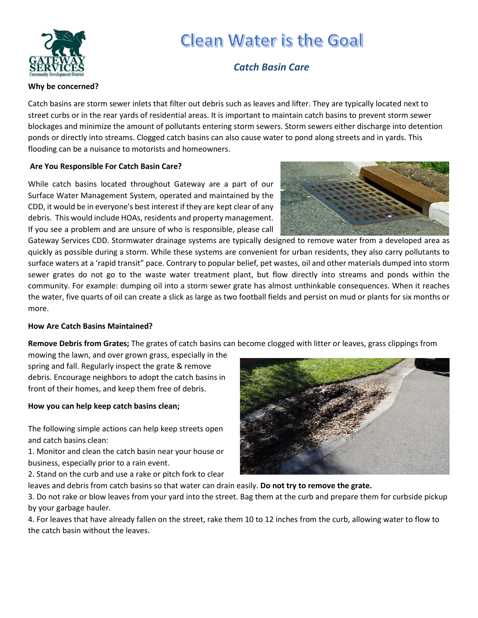

**Why be concerned?**

# **Clean Water is the Goal**

# *Catch Basin Care*

Catch basins are storm sewer inlets that filter out debris such as leaves and lifter. They are typically located next to street curbs or in the rear yards of residential areas. It is important to maintain catch basins to prevent storm sewer blockages and minimize the amount of pollutants entering storm sewers. Storm sewers either discharge into detention ponds or directly into streams. Clogged catch basins can also cause water to pond along streets and in yards. This flooding can be a nuisance to motorists and homeowners.

# **Are You Responsible For Catch Basin Care?**

While catch basins located throughout Gateway are a part of our Surface Water Management System, operated and maintained by the CDD, it would be in everyone's best interest if they are kept clear of any debris. This would include HOAs, residents and property management. If you see a problem and are unsure of who is responsible, please call



Gateway Services CDD. Stormwater drainage systems are typically designed to remove water from a developed area as quickly as possible during a storm. While these systems are convenient for urban residents, they also carry pollutants to surface waters at a 'rapid transit" pace. Contrary to popular belief, pet wastes, oil and other materials dumped into storm sewer grates do not go to the waste water treatment plant, but flow directly into streams and ponds within the community. For example: dumping oil into a storm sewer grate has almost unthinkable consequences. When it reaches the water, five quarts of oil can create a slick as large as two football fields and persist on mud or plants for six months or more.

# **How Are Catch Basins Maintained?**

**Remove Debris from Grates;** The grates of catch basins can become clogged with litter or leaves, grass clippings from

mowing the lawn, and over grown grass, especially in the spring and fall. Regularly inspect the grate & remove debris. Encourage neighbors to adopt the catch basins in front of their homes, and keep them free of debris.

### **How you can help keep catch basins clean;**

The following simple actions can help keep streets open and catch basins clean:

1. Monitor and clean the catch basin near your house or business, especially prior to a rain event.

2. Stand on the curb and use a rake or pitch fork to clear

leaves and debris from catch basins so that water can drain easily. **Do not try to remove the grate.**

3. Do not rake or blow leaves from your yard into the street. Bag them at the curb and prepare them for curbside pickup by your garbage hauler.

4. For leaves that have already fallen on the street, rake them 10 to 12 inches from the curb, allowing water to flow to the catch basin without the leaves.